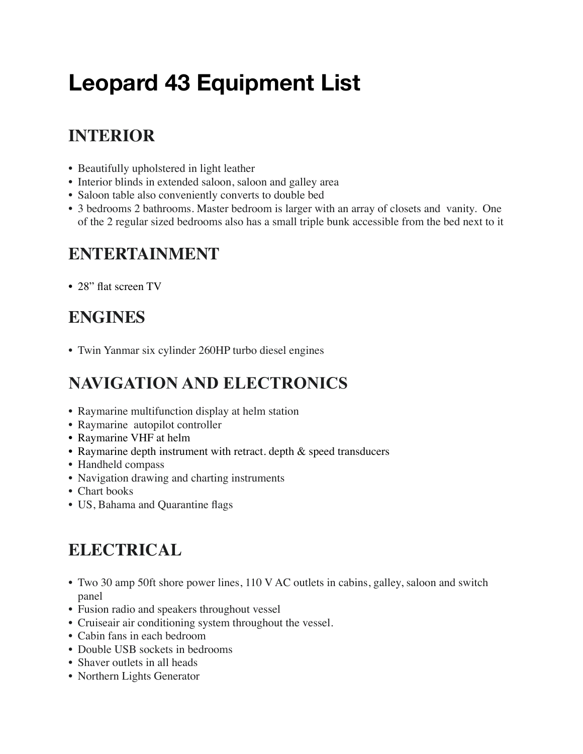# **Leopard 43 Equipment List**

## **INTERIOR**

- Beautifully upholstered in light leather
- Interior blinds in extended saloon, saloon and galley area
- Saloon table also conveniently converts to double bed
- 3 bedrooms 2 bathrooms. Master bedroom is larger with an array of closets and vanity. One of the 2 regular sized bedrooms also has a small triple bunk accessible from the bed next to it

#### **ENTERTAINMENT**

• 28" flat screen TV

## **ENGINES**

• Twin Yanmar six cylinder 260HP turbo diesel engines

## **NAVIGATION AND ELECTRONICS**

- Raymarine multifunction display at helm station
- Raymarine autopilot controller
- Raymarine VHF at helm
- Raymarine depth instrument with retract. depth & speed transducers
- Handheld compass
- Navigation drawing and charting instruments
- Chart books
- US, Bahama and Quarantine flags

## **ELECTRICAL**

- Two 30 amp 50ft shore power lines, 110 V AC outlets in cabins, galley, saloon and switch panel
- Fusion radio and speakers throughout vessel
- Cruiseair air conditioning system throughout the vessel.
- Cabin fans in each bedroom
- Double USB sockets in bedrooms
- Shaver outlets in all heads
- Northern Lights Generator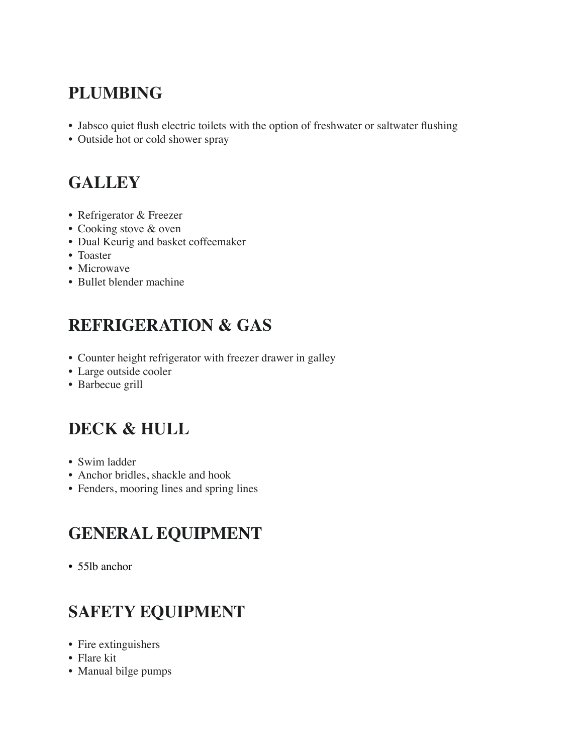## **PLUMBING**

- Jabsco quiet flush electric toilets with the option of freshwater or saltwater flushing
- Outside hot or cold shower spray

#### **GALLEY**

- Refrigerator & Freezer
- Cooking stove & oven
- Dual Keurig and basket coffeemaker
- Toaster
- Microwave
- Bullet blender machine

## **REFRIGERATION & GAS**

- Counter height refrigerator with freezer drawer in galley
- Large outside cooler
- Barbecue grill

## **DECK & HULL**

- Swim ladder
- Anchor bridles, shackle and hook
- Fenders, mooring lines and spring lines

#### **GENERAL EQUIPMENT**

• 55lb anchor

## **SAFETY EQUIPMENT**

- Fire extinguishers
- Flare kit
- Manual bilge pumps